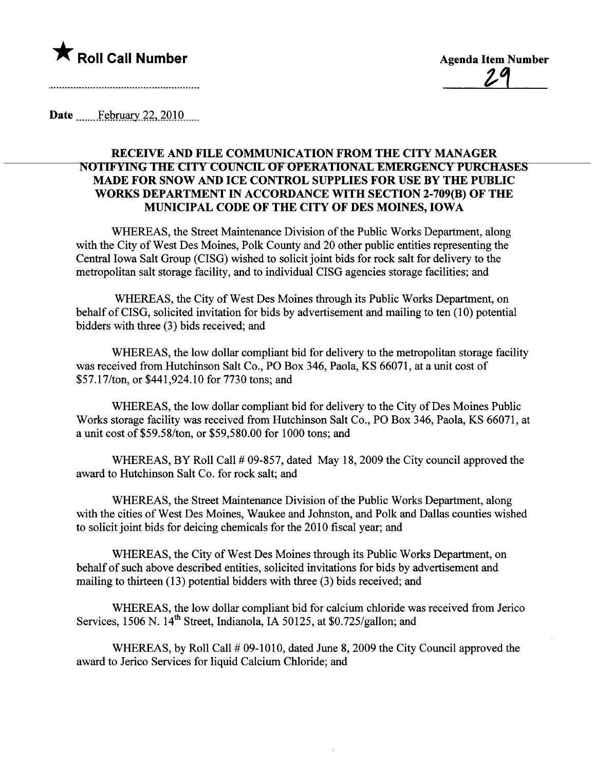

Date  $\qquad$  February 22, 2010

## RECEIVE AND FILE COMMUNICATION FROM THE CITY MANAGER NOTIFYING THE CITY COUNCIL OF OPERATIONAL EMERGENCY PURCHASES MADE FOR SNOW AND ICE CONTROL SUPPLIES FOR USE BY THE PUBLIC WORKS DEPARTMENT IN ACCORDANCE WITH SECTION 2-709(B) OF THE MUNICIPAL CODE OF THE CITY OF DES MOINES, IOWA

WHEREAS, the Street Maintenance Division of the Public Works Deparment, along with the City of West Des Moines, Polk County and 20 other public entities representing the Central Iowa Salt Group (CISG) wished to solicit joint bids for rock salt for delivery to the metropolitan salt storage facilty, and to individual CISG agencies storage facilities; and

WHEREAS, the City of West Des Moines through its Public Works Deparment, on behalf of CISG, solicited invitation for bids by advertisement and mailing to ten (10) potential bidders with three (3) bids received; and

WHEREAS, the low dollar compliant bid for delivery to the metropolitan storage facility was received from Hutchinson Salt Co., PO Box 346, Paola, KS 66071, at a unit cost of \$57.17/ton, or \$441,924.10 for 7730 tons; and

WHEREAS, the low dollar compliant bid for delivery to the City of Des Moines Public Works storage facilty was received from Hutchinson Salt Co., PO Box 346, Paola, KS 66071, at a unit cost of \$59.58/ton, or \$59,580.00 for 1000 tons; and

WHEREAS, BY Roll Call # 09-857, dated May 18, 2009 the City council approved the award to Hutchinson Salt Co. for rock salt; and

WHEREAS, the Street Maintenance Division of the Public Works Deparment, along with the cities of West Des Moines, Waukee and Johnston, and Polk and Dallas counties wished to solicit joint bids for deicing chemicals for the 2010 fiscal year; and

WHEREAS, the City of West Des Moines through its Public Works Deparment, on behalf of such above described entities, solicited invitations for bids by advertisement and mailing to thirteen (13) potential bidders with three (3) bids received; and

WHEREAS, the low dollar compliant bid for calcium chloride was received from Jerico Services, 1506 N. 14<sup>th</sup> Street, Indianola, IA 50125, at \$0.725/gallon; and

WHEREAS, by Roll Call # 09-1010, dated June 8, 2009 the City Council approved the award to Jerico Services for liquid Calcium Chloride; and